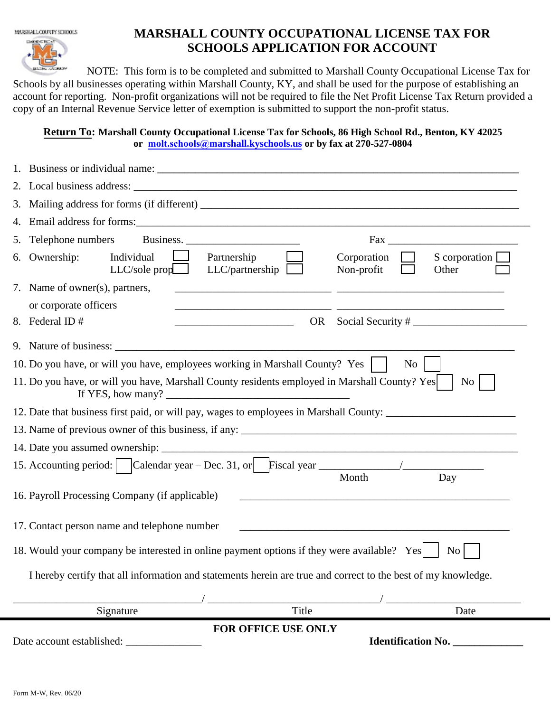MARSHALL COUNTY SCHOOLS

## **MARSHALL COUNTY OCCUPATIONAL LICENSE TAX FOR SCHOOLS APPLICATION FOR ACCOUNT**

NOTE: This form is to be completed and submitted to Marshall County Occupational License Tax for Schools by all businesses operating within Marshall County, KY, and shall be used for the purpose of establishing an account for reporting. Non-profit organizations will not be required to file the Net Profit License Tax Return provided a copy of an Internal Revenue Service letter of exemption is submitted to support the non-profit status.

## **Return To: Marshall County Occupational License Tax for Schools, 86 High School Rd., Benton, KY 42025 or molt.schools@m[arshall.kyschools.us](mailto:jobeth.appleton@marshall.kyschools.us) or by fax at 270-527-0804**

|    | 18. Would your company be interested in online payment options if they were available? Yes<br>No<br>I hereby certify that all information and statements herein are true and correct to the best of my knowledge.<br>$\sqrt{\frac{1}{\sqrt{1}}$ Title<br>Date<br>Signature<br>FOR OFFICE USE ONLY                                                                        |
|----|--------------------------------------------------------------------------------------------------------------------------------------------------------------------------------------------------------------------------------------------------------------------------------------------------------------------------------------------------------------------------|
|    |                                                                                                                                                                                                                                                                                                                                                                          |
|    |                                                                                                                                                                                                                                                                                                                                                                          |
|    |                                                                                                                                                                                                                                                                                                                                                                          |
|    |                                                                                                                                                                                                                                                                                                                                                                          |
|    | 17. Contact person name and telephone number                                                                                                                                                                                                                                                                                                                             |
|    |                                                                                                                                                                                                                                                                                                                                                                          |
|    | 16. Payroll Processing Company (if applicable)                                                                                                                                                                                                                                                                                                                           |
|    | Month<br>Day                                                                                                                                                                                                                                                                                                                                                             |
|    |                                                                                                                                                                                                                                                                                                                                                                          |
|    |                                                                                                                                                                                                                                                                                                                                                                          |
|    | 12. Date that business first paid, or will pay, wages to employees in Marshall County: _______________________                                                                                                                                                                                                                                                           |
|    | If YES, how many? $\qquad \qquad$ $\qquad \qquad$ $\qquad \qquad$ $\qquad \qquad$ $\qquad \qquad$ $\qquad \qquad$ $\qquad \qquad$ $\qquad \qquad$ $\qquad \qquad$ $\qquad \qquad$ $\qquad \qquad$ $\qquad \qquad$ $\qquad \qquad$ $\qquad$ $\qquad \qquad$ $\qquad$ $\qquad \qquad$ $\qquad$ $\qquad$ $\qquad$ $\qquad$ $\qquad$ $\qquad$ $\qquad$ $\qquad$ $\qquad$ $\$ |
|    | 11. Do you have, or will you have, Marshall County residents employed in Marshall County? Yes<br>No                                                                                                                                                                                                                                                                      |
|    | 10. Do you have, or will you have, employees working in Marshall County? Yes<br>No                                                                                                                                                                                                                                                                                       |
|    |                                                                                                                                                                                                                                                                                                                                                                          |
|    | 8. Federal ID#<br>OR                                                                                                                                                                                                                                                                                                                                                     |
|    | or corporate officers                                                                                                                                                                                                                                                                                                                                                    |
|    | 7. Name of owner(s), partners,                                                                                                                                                                                                                                                                                                                                           |
|    | Individual<br>6. Ownership:<br>Corporation<br>S corporation $\Box$<br>Partnership<br>LLC/partnership<br>$LLC/\text{sole}$ prop $\Box$<br>Non-profit<br>Other                                                                                                                                                                                                             |
|    | 5. Telephone numbers<br>Business.                                                                                                                                                                                                                                                                                                                                        |
|    |                                                                                                                                                                                                                                                                                                                                                                          |
| 3. |                                                                                                                                                                                                                                                                                                                                                                          |
|    |                                                                                                                                                                                                                                                                                                                                                                          |
| 2. |                                                                                                                                                                                                                                                                                                                                                                          |